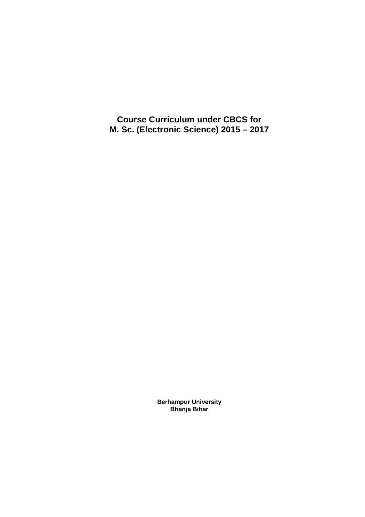**Course Curriculum under CBCS for M. Sc. (Electronic Science) 2015 – 2017**

> **Berhampur University Bhanja Bihar**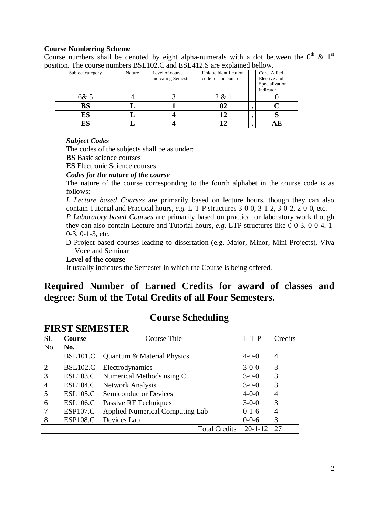#### **Course Numbering Scheme**

Course numbers shall be denoted by eight alpha-numerals with a dot between the  $0^{\text{th}}$  &  $1^{\text{st}}$ position. The course numbers BSL102.C and ESL412.S are explained bellow.

| Subject category | Nature | Level of course<br>indicating Semester | Unique identification<br>code for the course |           | Core, Allied<br>Elective and<br>Specialization<br>indicator |
|------------------|--------|----------------------------------------|----------------------------------------------|-----------|-------------------------------------------------------------|
| 6& 5             |        |                                        | 2 & 1                                        |           |                                                             |
| <b>BS</b>        |        |                                        | 02                                           | $\bullet$ |                                                             |
| ES               |        |                                        |                                              |           |                                                             |
| ES               |        |                                        |                                              |           |                                                             |

# *Subject Codes*

The codes of the subjects shall be as under:

**BS** Basic science courses

**ES** Electronic Science courses

#### *Codes for the nature of the course*

The nature of the course corresponding to the fourth alphabet in the course code is as follows:

*L Lecture based Courses* are primarily based on lecture hours, though they can also contain Tutorial and Practical hours, *e.g.* L-T-P structures 3-0-0, 3-1-2, 3-0-2, 2-0-0, etc.

*P Laboratory based Courses* are primarily based on practical or laboratory work though they can also contain Lecture and Tutorial hours, *e.g.* LTP structures like 0-0-3, 0-0-4, 1- 0-3, 0-1-3, etc.

D Project based courses leading to dissertation (e.g. Major, Minor, Mini Projects), Viva Voce and Seminar

#### **Level of the course**

It usually indicates the Semester in which the Course is being offered.

# **Required Number of Earned Credits for award of classes and degree: Sum of the Total Credits of all Four Semesters.**

**Course Scheduling**

| Sl.            | <b>Course</b>   | Course Title                           | $L-T-P$       | Credits                |
|----------------|-----------------|----------------------------------------|---------------|------------------------|
| No.            | No.             |                                        |               |                        |
|                | <b>BSL101.C</b> | Quantum & Material Physics             | $4 - 0 - 0$   | $\overline{4}$         |
| 2              | <b>BSL102.C</b> | Electrodynamics                        | $3 - 0 - 0$   | 3                      |
| 3              | <b>ESL103.C</b> | Numerical Methods using C              | $3 - 0 - 0$   | 3                      |
| $\overline{4}$ | <b>ESL104.C</b> | <b>Network Analysis</b>                | $3 - 0 - 0$   | 3                      |
| 5              | <b>ESL105.C</b> | <b>Semiconductor Devices</b>           | $4 - 0 - 0$   | $\boldsymbol{\Lambda}$ |
| 6              | <b>ESL106.C</b> | Passive RF Techniques                  | $3 - 0 - 0$   | 3                      |
| $\overline{7}$ | <b>ESP107.C</b> | <b>Applied Numerical Computing Lab</b> | $0-1-6$       | $\overline{A}$         |
| 8              | <b>ESP108.C</b> | Devices Lab                            | $0 - 0 - 6$   | 3                      |
|                |                 | <b>Total Credits</b>                   | $20 - 1 - 12$ | 27                     |

# **FIRST SEMESTER**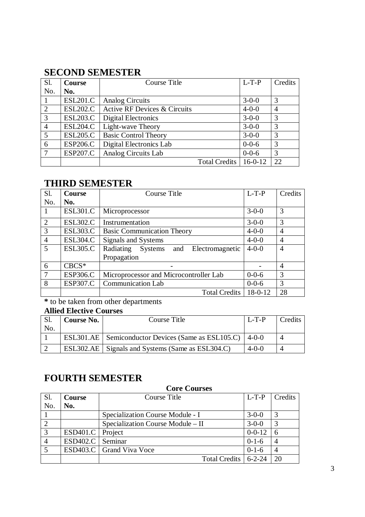# **SECOND SEMESTER**

| Sl.            | <b>Course</b>   | Course Title                 | $L-T-P$     | Credits        |
|----------------|-----------------|------------------------------|-------------|----------------|
| No.            | No.             |                              |             |                |
|                | <b>ESL201.C</b> | <b>Analog Circuits</b>       | $3 - 0 - 0$ | 3              |
| 2              | <b>ESL202.C</b> | Active RF Devices & Circuits | $4 - 0 - 0$ | $\overline{4}$ |
| 3              | <b>ESL203.C</b> | <b>Digital Electronics</b>   | $3 - 0 - 0$ | 3              |
| $\overline{4}$ | <b>ESL204.C</b> | Light-wave Theory            | $3 - 0 - 0$ | 3              |
| 5              | <b>ESL205.C</b> | <b>Basic Control Theory</b>  | $3 - 0 - 0$ | 3              |
| 6              | <b>ESP206.C</b> | Digital Electronics Lab      | $0 - 0 - 6$ | 3              |
| $\mathcal{I}$  | <b>ESP207.C</b> | Analog Circuits Lab          | $0 - 0 - 6$ | 3              |
|                |                 | <b>Total Credits</b>         | $16-0-12$   | 22             |

# **THIRD SEMESTER**

| Sl.            | <b>Course</b>   | Course Title                                | $L-T-P$       | Credits        |
|----------------|-----------------|---------------------------------------------|---------------|----------------|
| No.            | No.             |                                             |               |                |
| -1             | <b>ESL301.C</b> | Microprocessor                              | $3 - 0 - 0$   | 3              |
| 2              | <b>ESL302.C</b> | Instrumentation                             | $3 - 0 - 0$   | 3              |
| 3              | <b>ESL303.C</b> | <b>Basic Communication Theory</b>           | $4 - 0 - 0$   | 4              |
| $\overline{4}$ | <b>ESL304.C</b> | Signals and Systems                         | $4 - 0 - 0$   | $\overline{4}$ |
| 5              | <b>ESL305.C</b> | Radiating<br>Systems and<br>Electromagnetic | $4 - 0 - 0$   | $\overline{4}$ |
|                |                 | Propagation                                 |               |                |
| 6              | $CBCS*$         |                                             |               | $\overline{4}$ |
| $\overline{7}$ | <b>ESP306.C</b> | Microprocessor and Microcontroller Lab      | $0 - 0 - 6$   | 3              |
| 8              | <b>ESP307.C</b> | <b>Communication Lab</b>                    | $0 - 0 - 6$   | 3              |
|                |                 | <b>Total Credits</b>                        | $18 - 0 - 12$ | 28             |

**\*** to be taken from other departments

# **Allied Elective Courses**

| No. | <b>Course No.</b> | Course Title                                             | $L-T-P$     | Credits |
|-----|-------------------|----------------------------------------------------------|-------------|---------|
|     |                   | ESL301.AE Semiconductor Devices (Same as ESL105.C) 4-0-0 |             |         |
|     |                   | ESL302.AE Signals and Systems (Same as ESL304.C)         | $4 - 0 - 0$ |         |

# **FOURTH SEMESTER**

|     |                    | <b>Core Courses</b>               |              |         |
|-----|--------------------|-----------------------------------|--------------|---------|
| Sl. | <b>Course</b>      | Course Title                      | $L-T-P$      | Credits |
| No. | No.                |                                   |              |         |
|     |                    | Specialization Course Module - I  | $3 - 0 - 0$  | 3       |
|     |                    | Specialization Course Module - II | $3 - 0 - 0$  | 3       |
| 3   | ESD401.C   Project |                                   | $0 - 0 - 12$ | 6       |
|     | <b>ESD402.C</b>    | Seminar                           | $0-1-6$      | 4       |
|     |                    | ESD403.C   Grand Viva Voce        | $0-1-6$      |         |
|     |                    | <b>Total Credits</b>              | $6 - 2 - 24$ | 20      |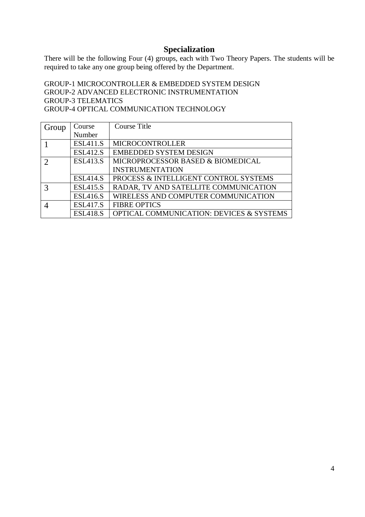# **Specialization**

There will be the following Four (4) groups, each with Two Theory Papers. The students will be required to take any one group being offered by the Department.

GROUP-1 MICROCONTROLLER & EMBEDDED SYSTEM DESIGN GROUP-2 ADVANCED ELECTRONIC INSTRUMENTATION GROUP-3 TELEMATICS GROUP-4 OPTICAL COMMUNICATION TECHNOLOGY

| Group                       | Course          | Course Title                             |
|-----------------------------|-----------------|------------------------------------------|
|                             | Number          |                                          |
|                             | <b>ESL411.S</b> | <b>MICROCONTROLLER</b>                   |
|                             | <b>ESL412.S</b> | <b>EMBEDDED SYSTEM DESIGN</b>            |
| $\mathcal{D}_{\mathcal{L}}$ | <b>ESL413.S</b> | MICROPROCESSOR BASED & BIOMEDICAL        |
|                             |                 | <b>INSTRUMENTATION</b>                   |
|                             | <b>ESL414.S</b> | PROCESS & INTELLIGENT CONTROL SYSTEMS    |
| 3                           | <b>ESL415.S</b> | RADAR, TV AND SATELLITE COMMUNICATION    |
|                             | <b>ESL416.S</b> | WIRELESS AND COMPUTER COMMUNICATION      |
|                             | <b>ESL417.S</b> | <b>FIBRE OPTICS</b>                      |
|                             | <b>ESL418.S</b> | OPTICAL COMMUNICATION: DEVICES & SYSTEMS |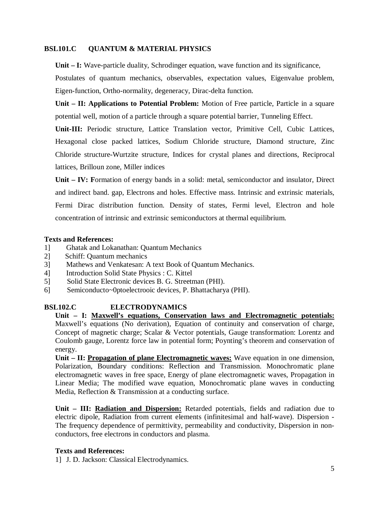# **BSL101.C QUANTUM & MATERIAL PHYSICS**

**Unit – I:** Wave-particle duality, Schrodinger equation, wave function and its significance,

Postulates of quantum mechanics, observables, expectation values, Eigenvalue problem, Eigen-function, Ortho-normality, degeneracy, Dirac-delta function.

**Unit – II: Applications to Potential Problem:** Motion of Free particle, Particle in a square potential well, motion of a particle through a square potential barrier, Tunneling Effect.

**Unit-III:** Periodic structure, Lattice Translation vector, Primitive Cell, Cubic Lattices, Hexagonal close packed lattices, Sodium Chloride structure, Diamond structure, Zinc Chloride structure-Wurtzite structure, Indices for crystal planes and directions, Reciprocal lattices, Brilloun zone, Miller indices

**Unit – IV: F**ormation of energy bands in a solid: metal, semiconductor and insulator, Direct and indirect band. gap, Electrons and holes. Effective mass. Intrinsic and extrinsic materials, Fermi Dirac distribution function. Density of states, Fermi level, Electron and hole concentration of intrinsic and extrinsic semiconductors at thermal equilibrium.

# **Texts and References:**

- 1] Ghatak and Lokanathan: Quantum Mechanics
- 2] Schiff: Quantum mechanics
- 3] Mathews and Venkatesan: A text Book of Quantum Mechanics.
- 4] Introduction Solid State Physics : C. Kittel
- 5] Solid State Electronic devices B. G. Streetman (PHI).
- 6] Semiconducto~0ptoelectrooic devices, P. Bhattacharya (PHI).

# **BSL102.C ELECTRODYNAMICS**

**Unit – I: Maxwell's equations, Conservation laws and Electromagnetic potentials:** Maxwell's equations (No derivation), Equation of continuity and conservation of charge, Concept of magnetic charge; Scalar & Vector potentials, Gauge transformation: Lorentz and Coulomb gauge, Lorentz force law in potential form; Poynting's theorem and conservation of energy.

**Unit – II: Propagation of plane Electromagnetic waves:** Wave equation in one dimension, Polarization, Boundary conditions: Reflection and Transmission. Monochromatic plane electromagnetic waves in free space, Energy of plane electromagnetic waves, Propagation in Linear Media; The modified wave equation, Monochromatic plane waves in conducting Media, Reflection & Transmission at a conducting surface.

**Unit – III: Radiation and Dispersion:** Retarded potentials, fields and radiation due to electric dipole, Radiation from current elements (infinitesimal and half-wave). Dispersion - The frequency dependence of permittivity, permeability and conductivity, Dispersion in nonconductors, free electrons in conductors and plasma.

# **Texts and References:**

1] J. D. Jackson: Classical Electrodynamics.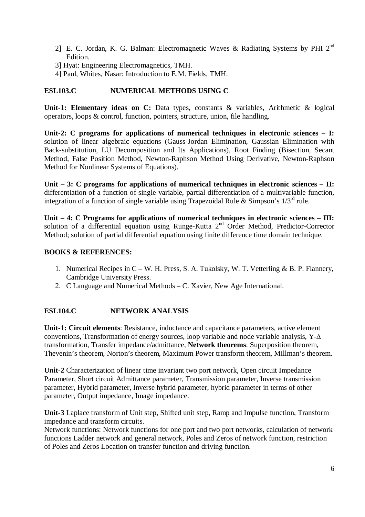- 2] E. C. Jordan, K. G. Balman: Electromagnetic Waves & Radiating Systems by PHI 2nd Edition.
- 3] Hyat: Engineering Electromagnetics, TMH.
- 4] Paul, Whites, Nasar: Introduction to E.M. Fields, TMH.

# **ESL103.C NUMERICAL METHODS USING C**

**Unit-1: Elementary ideas on C:** Data types, constants & variables, Arithmetic & logical operators, loops & control, function, pointers, structure, union, file handling.

**Unit-2: C programs for applications of numerical techniques in electronic sciences – I:** solution of linear algebraic equations (Gauss-Jordan Elimination, Gaussian Elimination with Back-substitution, LU Decomposition and Its Applications), Root Finding (Bisection, Secant Method, False Position Method, Newton-Raphson Method Using Derivative, Newton-Raphson Method for Nonlinear Systems of Equations).

**Unit – 3: C programs for applications of numerical techniques in electronic sciences – II:** differentiation of a function of single variable, partial differentiation of a multivariable function, integration of a function of single variable using Trapezoidal Rule & Simpson's  $1/3^{rd}$  rule.

**Unit – 4: C Programs for applications of numerical techniques in electronic sciences – III:** solution of a differential equation using Runge-Kutta  $2<sup>nd</sup>$  Order Method, Predictor-Corrector Method; solution of partial differential equation using finite difference time domain technique.

# **BOOKS & REFERENCES:**

- 1. Numerical Recipes in C W. H. Press, S. A. Tukolsky, W. T. Vetterling & B. P. Flannery, Cambridge University Press.
- 2. C Language and Numerical Methods C. Xavier, New Age International.

# **ESL104.C NETWORK ANALYSIS**

**Unit-1: Circuit elements**: Resistance, inductance and capacitance parameters, active element conventions, Transformation of energy sources, loop variable and node variable analysis, Y-∆ transformation, Transfer impedance/admittance, **Network theorems**: Superposition theorem, Thevenin's theorem, Norton's theorem, Maximum Power transform theorem, Millman's theorem.

**Unit-2** Characterization of linear time invariant two port network, Open circuit Impedance Parameter, Short circuit Admittance parameter, Transmission parameter, Inverse transmission parameter, Hybrid parameter, Inverse hybrid parameter, hybrid parameter in terms of other parameter, Output impedance, Image impedance.

**Unit-3** Laplace transform of Unit step, Shifted unit step, Ramp and Impulse function, Transform impedance and transform circuits.

Network functions: Network functions for one port and two port networks, calculation of network functions Ladder network and general network, Poles and Zeros of network function, restriction of Poles and Zeros Location on transfer function and driving function.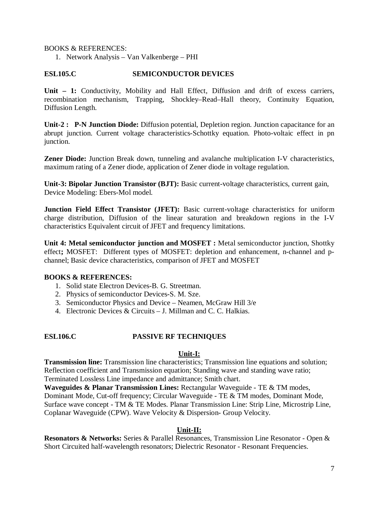BOOKS & REFERENCES:

1. Network Analysis – Van Valkenberge – PHI

#### **ESL105.C SEMICONDUCTOR DEVICES**

Unit – 1: Conductivity, Mobility and Hall Effect, Diffusion and drift of excess carriers, recombination mechanism, Trapping, Shockley–Read–Hall theory, Continuity Equation, Diffusion Length.

**Unit-2 : P-N Junction Diode:** Diffusion potential, Depletion region. Junction capacitance for an abrupt junction. Current voltage characteristics-Schottky equation. Photo-voltaic effect in pn junction.

**Zener Diode:** Junction Break down, tunneling and avalanche multiplication I-V characteristics, maximum rating of a Zener diode, application of Zener diode in voltage regulation.

**Unit-3: Bipolar Junction Transistor (BJT):** Basic current-voltage characteristics, current gain, Device Modeling: Ebers-Mol model.

**Junction Field Effect Transistor (JFET):** Basic current-voltage characteristics for uniform charge distribution, Diffusion of the linear saturation and breakdown regions in the I-V characteristics Equivalent circuit of JFET and frequency limitations.

**Unit 4: Metal semiconductor junction and MOSFET :** Metal semiconductor junction, Shottky effect**;** MOSFET:Different types of MOSFET: depletion and enhancement, n-channel and pchannel; Basic device characteristics, comparison of JFET and MOSFET

#### **BOOKS & REFERENCES:**

- 1. Solid state Electron Devices-B. G. Streetman.
- 2. Physics of semiconductor Devices-S. M. Sze.
- 3. Semiconductor Physics and Device Neamen, McGraw Hill 3/e
- 4. Electronic Devices & Circuits J. Millman and C. C. Halkias.

#### **ESL106.C PASSIVE RF TECHNIQUES**

#### **Unit-I:**

**Transmission line:** Transmission line characteristics; Transmission line equations and solution; Reflection coefficient and Transmission equation; Standing wave and standing wave ratio; Terminated Lossless Line impedance and admittance; Smith chart.

**Waveguides & Planar Transmission Lines:** Rectangular Waveguide - TE & TM modes, Dominant Mode, Cut-off frequency; Circular Waveguide - TE & TM modes, Dominant Mode, Surface wave concept - TM & TE Modes. Planar Transmission Line: Strip Line, Microstrip Line, Coplanar Waveguide (CPW). Wave Velocity & Dispersion- Group Velocity.

#### **Unit-II:**

**Resonators & Networks:** Series & Parallel Resonances, Transmission Line Resonator - Open & Short Circuited half-wavelength resonators; Dielectric Resonator - Resonant Frequencies.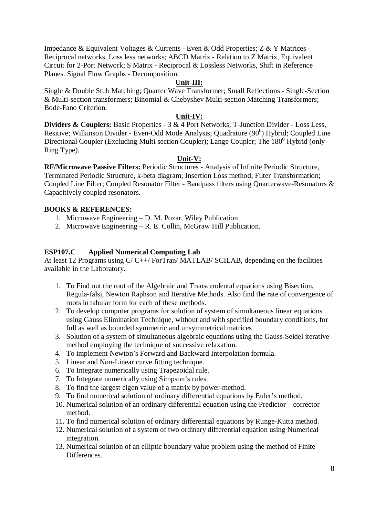Impedance & Equivalent Voltages & Currents - Even & Odd Properties; Z & Y Matrices - Reciprocal networks, Loss less networks; ABCD Matrix - Relation to Z Matrix, Equivalent Circuit for 2-Port Network; S Matrix - Reciprocal & Lossless Networks, Shift in Reference Planes. Signal Flow Graphs - Decomposition.

#### **Unit-III:**

Single & Double Stub Matching; Quarter Wave Transformer; Small Reflections - Single-Section & Multi-section transformers; Binomial & Chebyshev Multi-section Matching Transformers; Bode-Fano Criterion.

#### **Unit-IV:**

**Dividers & Couplers:** Basic Properties - 3 & 4 Port Networks; T-Junction Divider - Loss Less, Resitive; Wilkinson Divider - Even-Odd Mode Analysis; Quadrature  $(90^0)$  Hybrid; Coupled Line Directional Coupler (Excluding Multi section Coupler); Lange Coupler; The  $180^{\circ}$  Hybrid (only Ring Type).

#### **Unit-V:**

**RF/Microwave Passive Filters:** Periodic Structures - Analysis of Infinite Periodic Structure, Terminated Periodic Structure, k-beta diagram; Insertion Loss method; Filter Transformation; Coupled Line Filter; Coupled Resonator Filter - Bandpass filters using Quarterwave-Resonators & Capacitively coupled resonators.

#### **BOOKS & REFERENCES:**

- 1. Microwave Engineering D. M. Pozar, Wiley Publication
- 2. Microwave Engineering R. E. Collin, McGraw Hill Publication.

#### **ESP107.C Applied Numerical Computing Lab**

At least 12 Programs using C/ C++/ ForTran/ MATLAB/ SCILAB, depending on the facilities available in the Laboratory.

- 1. To Find out the root of the Algebraic and Transcendental equations using Bisection, Regula-falsi, Newton Raphson and Iterative Methods. Also find the rate of convergence of roots in tabular form for each of these methods.
- 2. To develop computer programs for solution of system of simultaneous linear equations using Gauss Elimination Technique, without and with specified boundary conditions, for full as well as bounded symmetric and unsymmetrical matrices
- 3. Solution of a system of simultaneous algebraic equations using the Gauss-Seidel iterative method employing the technique of successive relaxation.
- 4. To implement Newton's Forward and Backward Interpolation formula.
- 5. Linear and Non-Linear curve fitting technique.
- 6. To Integrate numerically using Trapezoidal rule.
- 7. To Integrate numerically using Simpson's rules.
- 8. To find the largest eigen value of a matrix by power-method.
- 9. To find numerical solution of ordinary differential equations by Euler's method.
- 10. Numerical solution of an ordinary differential equation using the Predictor corrector method.
- 11. To find numerical solution of ordinary differential equations by Runge-Kutta method.
- 12. Numerical solution of a system of two ordinary differential equation using Numerical integration.
- 13. Numerical solution of an elliptic boundary value problem using the method of Finite Differences.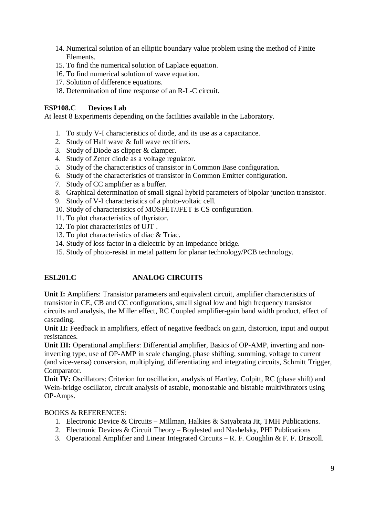- 14. Numerical solution of an elliptic boundary value problem using the method of Finite Elements.
- 15. To find the numerical solution of Laplace equation.
- 16. To find numerical solution of wave equation.
- 17. Solution of difference equations.
- 18. Determination of time response of an R-L-C circuit.

# **ESP108.C Devices Lab**

At least 8 Experiments depending on the facilities available in the Laboratory.

- 1. To study V-I characteristics of diode, and its use as a capacitance.
- 2. Study of Half wave & full wave rectifiers.
- 3. Study of Diode as clipper & clamper.
- 4. Study of Zener diode as a voltage regulator.
- 5. Study of the characteristics of transistor in Common Base configuration.
- 6. Study of the characteristics of transistor in Common Emitter configuration.
- 7. Study of CC amplifier as a buffer.
- 8. Graphical determination of small signal hybrid parameters of bipolar junction transistor.
- 9. Study of V-I characteristics of a photo-voltaic cell.
- 10. Study of characteristics of MOSFET/JFET is CS configuration.
- 11. To plot characteristics of thyristor.
- 12. To plot characteristics of UJT .
- 13. To plot characteristics of diac & Triac.
- 14. Study of loss factor in a dielectric by an impedance bridge.
- 15. Study of photo-resist in metal pattern for planar technology/PCB technology.

# **ESL201.C ANALOG CIRCUITS**

**Unit I:** Amplifiers: Transistor parameters and equivalent circuit, amplifier characteristics of transistor in CE, CB and CC configurations, small signal low and high frequency transistor circuits and analysis, the Miller effect, RC Coupled amplifier-gain band width product, effect of cascading.

Unit II: Feedback in amplifiers, effect of negative feedback on gain, distortion, input and output resistances.

**Unit III:** Operational amplifiers: Differential amplifier, Basics of OP-AMP, inverting and noninverting type, use of OP-AMP in scale changing, phase shifting, summing, voltage to current (and vice-versa) conversion, multiplying, differentiating and integrating circuits, Schmitt Trigger, Comparator.

**Unit IV:** Oscillators: Criterion for oscillation, analysis of Hartley, Colpitt, RC (phase shift) and Wein-bridge oscillator, circuit analysis of astable, monostable and bistable multivibrators using OP-Amps.

#### BOOKS & REFERENCES:

- 1. Electronic Device & Circuits Millman, Halkies & Satyabrata Jit, TMH Publications.
- 2. Electronic Devices & Circuit Theory Boylested and Nashelsky, PHI Publications
- 3. Operational Amplifier and Linear Integrated Circuits R. F. Coughlin & F. F. Driscoll.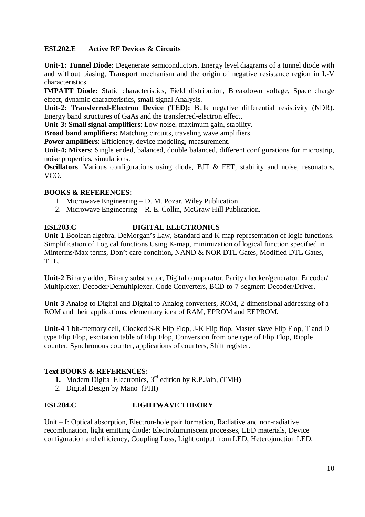# **ESL202.E Active RF Devices & Circuits**

**Unit-1: Tunnel Diode:** Degenerate semiconductors. Energy level diagrams of a tunnel diode with and without biasing, Transport mechanism and the origin of negative resistance region in I.-V characteristics.

**IMPATT Diode:** Static characteristics, Field distribution, Breakdown voltage, Space charge effect, dynamic characteristics, small signal Analysis.

**Unit-2: Transferred-Electron Device (TED):** Bulk negative differential resistivity (NDR). Energy band structures of GaAs and the transferred-electron effect.

**Unit-3: Small signal amplifiers**: Low noise, maximum gain, stability.

**Broad band amplifiers:** Matching circuits, traveling wave amplifiers.

**Power amplifiers**: Efficiency, device modeling, measurement.

**Unit-4: Mixers**: Single ended, balanced, double balanced, different configurations for microstrip, noise properties, simulations.

**Oscillators**: Various configurations using diode, BJT & FET, stability and noise, resonators, VCO.

# **BOOKS & REFERENCES:**

- 1. Microwave Engineering D. M. Pozar, Wiley Publication
- 2. Microwave Engineering R. E. Collin, McGraw Hill Publication.

# **ESL203.C DIGITAL ELECTRONICS**

**Unit-1** Boolean algebra, DeMorgan's Law, Standard and K-map representation of logic functions, Simplification of Logical functions Using K-map, minimization of logical function specified in Minterms/Max terms, Don't care condition, NAND & NOR DTL Gates, Modified DTL Gates, TTL.

**Unit-2** Binary adder, Binary substractor, Digital comparator, Parity checker/generator, Encoder/ Multiplexer, Decoder/Demultiplexer, Code Converters, BCD-to-7-segment Decoder/Driver.

**Unit-3** Analog to Digital and Digital to Analog converters, ROM, 2-dimensional addressing of a ROM and their applications, elementary idea of RAM, EPROM and EEPROM*.*

**Unit-4** 1 bit-memory cell, Clocked S-R Flip Flop, J-K Flip flop, Master slave Flip Flop, T and D type Flip Flop, excitation table of Flip Flop, Conversion from one type of Flip Flop, Ripple counter, Synchronous counter, applications of counters, Shift register.

# **Text BOOKS & REFERENCES:**

- **1.** Modern Digital Electronics, 3rd edition by R.P.Jain, (TMH**)**
- 2. Digital Design by Mano (PHI)

# **ESL204.C LIGHTWAVE THEORY**

Unit – I: Optical absorption, Electron-hole pair formation, Radiative and non-radiative recombination, light emitting diode: Electroluminiscent processes, LED materials, Device configuration and efficiency, Coupling Loss, Light output from LED, Heterojunction LED.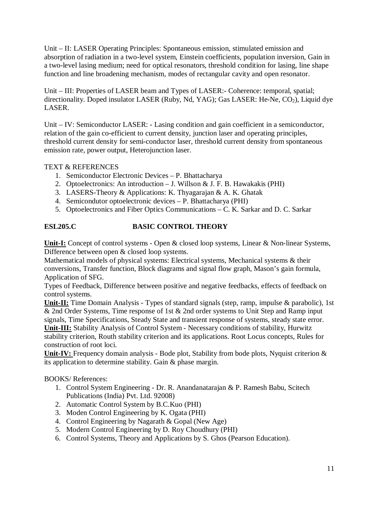Unit – II: LASER Operating Principles: Spontaneous emission, stimulated emission and absorption of radiation in a two-level system, Einstein coefficients, population inversion, Gain in a two-level lasing medium; need for optical resonators, threshold condition for lasing, line shape function and line broadening mechanism, modes of rectangular cavity and open resonator.

Unit – III: Properties of LASER beam and Types of LASER:- Coherence: temporal, spatial; directionality. Doped insulator LASER (Ruby, Nd, YAG); Gas LASER: He-Ne,  $CO<sub>2</sub>$ ), Liquid dye LASER.

Unit – IV: Semiconductor LASER: - Lasing condition and gain coefficient in a semiconductor, relation of the gain co-efficient to current density, junction laser and operating principles, threshold current density for semi-conductor laser, threshold current density from spontaneous emission rate, power output, Heterojunction laser.

# TEXT & REFERENCES

- 1. Semiconductor Electronic Devices P. Bhattacharya
- 2. Optoelectronics: An introduction J. Willson & J. F. B. Hawakakis (PHI)
- 3. LASERS-Theory & Applications: K. Thyagarajan & A. K. Ghatak
- 4. Semicondutor optoelectronic devices P. Bhattacharya (PHI)
- 5. Optoelectronics and Fiber Optics Communications C. K. Sarkar and D. C. Sarkar

# **ESL205.C BASIC CONTROL THEORY**

**Unit-I:** Concept of control systems - Open & closed loop systems, Linear & Non-linear Systems, Difference between open & closed loop systems.

Mathematical models of physical systems: Electrical systems, Mechanical systems & their conversions, Transfer function, Block diagrams and signal flow graph, Mason's gain formula, Application of SFG.

Types of Feedback, Difference between positive and negative feedbacks, effects of feedback on control systems.

**Unit-II:** Time Domain Analysis - Types of standard signals (step, ramp, impulse & parabolic), 1st & 2nd Order Systems, Time response of 1st & 2nd order systems to Unit Step and Ramp input signals, Time Specifications, Steady State and transient response of systems, steady state error. **Unit-III:** Stability Analysis of Control System - Necessary conditions of stability, Hurwitz stability criterion, Routh stability criterion and its applications. Root Locus concepts, Rules for construction of root loci.

**Unit-IV:** Frequency domain analysis - Bode plot, Stability from bode plots, Nyquist criterion & its application to determine stability. Gain & phase margin.

BOOKS/ References:

- 1. Control System Engineering Dr. R. Anandanatarajan & P. Ramesh Babu, Scitech Publications (India) Pvt. Ltd. 92008)
- 2. Automatic Control System by B.C.Kuo (PHI)
- 3. Moden Control Engineering by K. Ogata (PHI)
- 4. Control Engineering by Nagarath & Gopal (New Age)
- 5. Modern Control Engineering by D. Roy Choudhury (PHI)
- 6. Control Systems, Theory and Applications by S. Ghos (Pearson Education).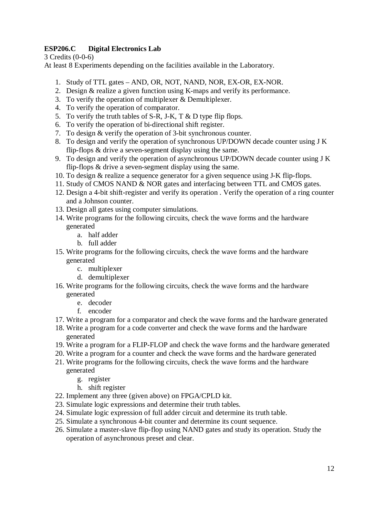# **ESP206.C Digital Electronics Lab**

3 Credits (0-0-6)

At least 8 Experiments depending on the facilities available in the Laboratory.

- 1. Study of TTL gates AND, OR, NOT, NAND, NOR, EX-OR, EX-NOR.
- 2. Design & realize a given function using K-maps and verify its performance.
- 3. To verify the operation of multiplexer & Demultiplexer.
- 4. To verify the operation of comparator.
- 5. To verify the truth tables of S-R, J-K, T & D type flip flops.
- 6. To verify the operation of bi-directional shift register.
- 7. To design & verify the operation of 3-bit synchronous counter.
- 8. To design and verify the operation of synchronous UP/DOWN decade counter using J K flip-flops & drive a seven-segment display using the same.
- 9. To design and verify the operation of asynchronous UP/DOWN decade counter using J K flip-flops & drive a seven-segment display using the same.
- 10. To design & realize a sequence generator for a given sequence using J-K flip-flops.
- 11. Study of CMOS NAND & NOR gates and interfacing between TTL and CMOS gates.
- 12. Design a 4-bit shift-register and verify its operation . Verify the operation of a ring counter and a Johnson counter.
- 13. Design all gates using computer simulations.
- 14. Write programs for the following circuits, check the wave forms and the hardware generated
	- a. half adder
	- b. full adder
- 15. Write programs for the following circuits, check the wave forms and the hardware generated
	- c. multiplexer
	- d. demultiplexer
- 16. Write programs for the following circuits, check the wave forms and the hardware generated
	- e. decoder
	- f. encoder
- 17. Write a program for a comparator and check the wave forms and the hardware generated
- 18. Write a program for a code converter and check the wave forms and the hardware generated
- 19. Write a program for a FLIP-FLOP and check the wave forms and the hardware generated
- 20. Write a program for a counter and check the wave forms and the hardware generated
- 21. Write programs for the following circuits, check the wave forms and the hardware generated
	- g. register
	- h. shift register
- 22. Implement any three (given above) on FPGA/CPLD kit.
- 23. Simulate logic expressions and determine their truth tables.
- 24. Simulate logic expression of full adder circuit and determine its truth table.
- 25. Simulate a synchronous 4-bit counter and determine its count sequence.
- 26. Simulate a master-slave flip-flop using NAND gates and study its operation. Study the operation of asynchronous preset and clear.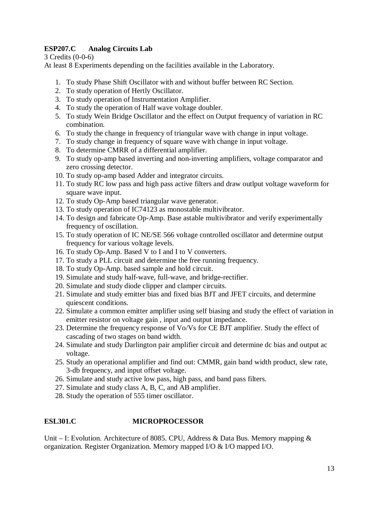# **ESP207.C Analog Circuits Lab**

3 Credits (0-0-6)

At least 8 Experiments depending on the facilities available in the Laboratory.

- 1. To study Phase Shift Oscillator with and without buffer between RC Section.
- 2. To study operation of Hertly Oscillator.
- 3. To study operation of Instrumentation Amplifier.
- 4. To study the operation of Half wave voltage doubler.
- 5. To study Wein Bridge Oscillator and the effect on Output frequency of variation in RC combination.
- 6. To study the change in frequency of triangular wave with change in input voltage.
- 7. To study change in frequency of square wave with change in input voltage.
- 8. To determine CMRR of a differential amplifier.
- 9. To study op-amp based inverting and non-inverting amplifiers, voltage comparator and zero crossing detector.
- 10. To study op-amp based Adder and integrator circuits.
- 11. To study RC low pass and high pass active filters and draw outlput voltage waveform for square wave input.
- 12. To study Op-Amp based triangular wave generator.
- 13. To study operation of IC74123 as monostable multivibrator.
- 14. To design and fabricate Op-Amp. Base astable multivibrator and verify experimentally frequency of oscillation.
- 15. To study operation of IC NE/SE 566 voltage controlled oscillator and determine output frequency for various voltage levels.
- 16. To study Op-Amp. Based V to I and I to V converters.
- 17. To study a PLL circuit and determine the free running frequency.
- 18. To study Op-Amp. based sample and hold circuit.
- 19. Simulate and study half-wave, full-wave, and bridge-rectifier.
- 20. Simulate and study diode clipper and clamper circuits.
- 21. Simulate and study emitter bias and fixed bias BJT and JFET circuits, and determine quiescent conditions.
- 22. Simulate a common emitter amplifier using self biasing and study the effect of variation in emitter resistor on voltage gain , input and output impedance.
- 23. Determine the frequency response of Vo/Vs for CE BJT amplifier. Study the effect of cascading of two stages on band width.
- 24. Simulate and study Darlington pair amplifier circuit and determine dc bias and output ac voltage.
- 25. Study an operational amplifier and find out: CMMR, gain band width product, slew rate, 3-db frequency, and input offset voltage.
- 26. Simulate and study active low pass, high pass, and band pass filters.
- 27. Simulate and study class A, B, C, and AB amplifier.
- 28. Study the operation of 555 timer oscillator.

# **ESL301.C MICROPROCESSOR**

Unit – I: Evolution. Architecture of 8085. CPU, Address & Data Bus. Memory mapping & organization. Register Organization. Memory mapped I/O & I/O mapped I/O.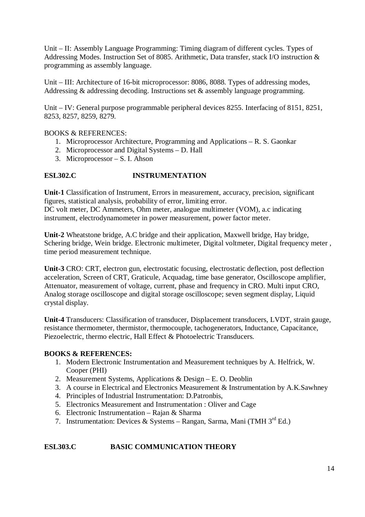Unit – II: Assembly Language Programming: Timing diagram of different cycles. Types of Addressing Modes. Instruction Set of 8085. Arithmetic, Data transfer, stack I/O instruction & programming as assembly language.

Unit – III: Architecture of 16-bit microprocessor: 8086, 8088. Types of addressing modes, Addressing & addressing decoding. Instructions set & assembly language programming.

Unit – IV: General purpose programmable peripheral devices 8255. Interfacing of 8151, 8251, 8253, 8257, 8259, 8279.

# BOOKS & REFERENCES:

- 1. Microprocessor Architecture, Programming and Applications R. S. Gaonkar
- 2. Microprocessor and Digital Systems D. Hall
- 3. Microprocessor S. I. Ahson

# **ESL302.C INSTRUMENTATION**

**Unit-1** Classification of Instrument, Errors in measurement, accuracy, precision, significant figures, statistical analysis, probability of error, limiting error.

DC volt meter, DC Ammeters, Ohm meter, analogue multimeter (VOM), a.c indicating instrument, electrodynamometer in power measurement, power factor meter.

**Unit-2** Wheatstone bridge, A.C bridge and their application, Maxwell bridge, Hay bridge, Schering bridge, Wein bridge. Electronic multimeter, Digital voltmeter, Digital frequency meter , time period measurement technique.

**Unit-3** CRO: CRT, electron gun, electrostatic focusing, electrostatic deflection, post deflection acceleration, Screen of CRT, Graticule, Acquadag, time base generator, Oscilloscope amplifier, Attenuator, measurement of voltage, current, phase and frequency in CRO. Multi input CRO, Analog storage oscilloscope and digital storage oscilloscope; seven segment display, Liquid crystal display.

**Unit-4** Transducers: Classification of transducer, Displacement transducers, LVDT, strain gauge, resistance thermometer, thermistor, thermocouple, tachogenerators, Inductance, Capacitance, Piezoelectric, thermo electric, Hall Effect & Photoelectric Transducers.

# **BOOKS & REFERENCES:**

- 1. Modern Electronic Instrumentation and Measurement techniques by A. Helfrick, W. Cooper (PHI)
- 2. Measurement Systems, Applications & Design E. O. Deoblin
- 3. A course in Electrical and Electronics Measurement & Instrumentation by A.K.Sawhney
- 4. Principles of Industrial Instrumentation: D.Patronbis,
- 5. Electronics Measurement and Instrumentation : Oliver and Cage
- 6. Electronic Instrumentation Rajan & Sharma
- 7. Instrumentation: Devices & Systems Rangan, Sarma, Mani (TMH 3rd Ed.)

# **ESL303.C BASIC COMMUNICATION THEORY**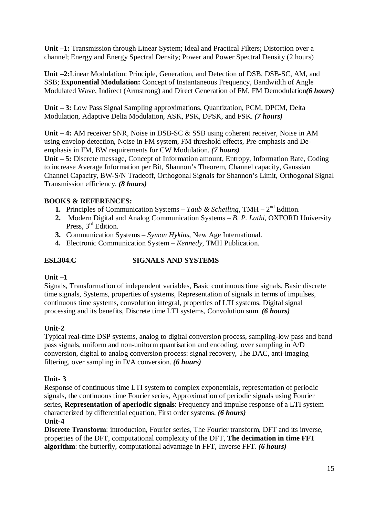**Unit –1:** Transmission through Linear System; Ideal and Practical Filters; Distortion over a channel; Energy and Energy Spectral Density; Power and Power Spectral Density (2 hours)

**Unit –2:**Linear Modulation: Principle, Generation, and Detection of DSB, DSB-SC, AM, and SSB; **Exponential Modulation:** Concept of Instantaneous Frequency, Bandwidth of Angle Modulated Wave, Indirect (Armstrong) and Direct Generation of FM, FM Demodulation*(6 hours)*

**Unit – 3:** Low Pass Signal Sampling approximations, Quantization, PCM, DPCM, Delta Modulation, Adaptive Delta Modulation, ASK, PSK, DPSK, and FSK. *(7 hours)*

**Unit – 4:** AM receiver SNR, Noise in DSB-SC & SSB using coherent receiver, Noise in AM using envelop detection, Noise in FM system, FM threshold effects, Pre-emphasis and Deemphasis in FM, BW requirements for CW Modulation. *(7 hours)*

**Unit – 5:** Discrete message, Concept of Information amount, Entropy, Information Rate, Coding to increase Average Information per Bit, Shannon's Theorem, Channel capacity, Gaussian Channel Capacity, BW-S/N Tradeoff, Orthogonal Signals for Shannon's Limit, Orthogonal Signal Transmission efficiency. *(8 hours)*

# **BOOKS & REFERENCES:**

- **1.** Principles of Communication Systems Taub & Scheiling, TMH  $2<sup>nd</sup>$  Edition.
- **2.** Modern Digital and Analog Communication Systems *B. P. Lathi*, OXFORD University Press, 3<sup>rd</sup> Edition.
- **3.** Communication Systems *Symon Hykins*, New Age International.
- **4.** Electronic Communication System *Kennedy*, TMH Publication.

# **ESL304.C SIGNALS AND SYSTEMS**

# **Unit –1**

Signals, Transformation of independent variables, Basic continuous time signals, Basic discrete time signals, Systems, properties of systems, Representation of signals in terms of impulses, continuous time systems, convolution integral, properties of LTI systems, Digital signal processing and its benefits, Discrete time LTI systems, Convolution sum. *(6 hours)*

# **Unit-2**

Typical real-time DSP systems, analog to digital conversion process, sampling-low pass and band pass signals, uniform and non-uniform quantisation and encoding, over sampling in A/D conversion, digital to analog conversion process: signal recovery, The DAC, anti-imaging filtering, over sampling in D/A conversion. *(6 hours)*

# **Unit- 3**

Response of continuous time LTI system to complex exponentials, representation of periodic signals, the continuous time Fourier series, Approximation of periodic signals using Fourier series, **Representation of aperiodic signals**: Frequency and impulse response of a LTI system characterized by differential equation, First order systems. *(6 hours)*

# **Unit-4**

**Discrete Transform**: introduction, Fourier series, The Fourier transform, DFT and its inverse, properties of the DFT, computational complexity of the DFT, **The decimation in time FFT algorithm**: the butterfly, computational advantage in FFT, Inverse FFT. *(6 hours)*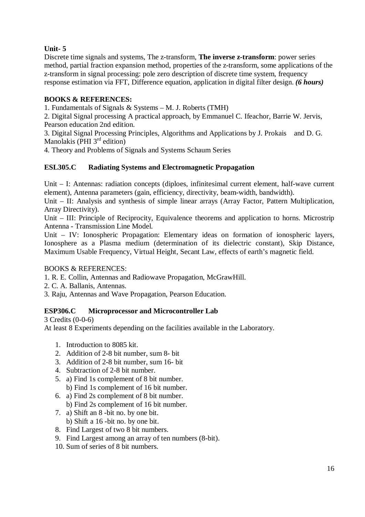# **Unit- 5**

Discrete time signals and systems, The z-transform, **The inverse z-transform**: power series method, partial fraction expansion method, properties of the z-transform, some applications of the z-transform in signal processing: pole zero description of discrete time system, frequency response estimation via FFT, Difference equation, application in digital filter design. *(6 hours)*

# **BOOKS & REFERENCES:**

1. Fundamentals of Signals & Systems – M. J. Roberts (TMH)

2. Digital Signal processing A practical approach, by Emmanuel C. Ifeachor, Barrie W. Jervis, Pearson education 2nd edition.

3. Digital Signal Processing Principles, Algorithms and Applications by J. Prokais and D. G. Manolakis (PHI  $3<sup>rd</sup>$  edition)

4. Theory and Problems of Signals and Systems Schaum Series

# **ESL305.C Radiating Systems and Electromagnetic Propagation**

Unit – I: Antennas: radiation concepts (diploes, infinitesimal current element, half-wave current element), Antenna parameters (gain, efficiency, directivity, beam-width, bandwidth).

Unit – II: Analysis and synthesis of simple linear arrays (Array Factor, Pattern Multiplication, Array Directivity).

Unit – III: Principle of Reciprocity, Equivalence theorems and application to horns. Microstrip Antenna - Transmission Line Model.

Unit – IV: Ionospheric Propagation: Elementary ideas on formation of ionospheric layers, Ionosphere as a Plasma medium (determination of its dielectric constant), Skip Distance, Maximum Usable Frequency, Virtual Height, Secant Law, effects of earth's magnetic field.

# BOOKS & REFERENCES:

1. R. E. Collin, Antennas and Radiowave Propagation, McGrawHill.

- 2. C. A. Ballanis, Antennas.
- 3. Raju, Antennas and Wave Propagation, Pearson Education.

# **ESP306.C Microprocessor and Microcontroller Lab**

3 Credits (0-0-6)

At least 8 Experiments depending on the facilities available in the Laboratory.

- 1. Introduction to 8085 kit.
- 2. Addition of 2-8 bit number, sum 8- bit
- 3. Addition of 2-8 bit number, sum 16- bit
- 4. Subtraction of 2-8 bit number.
- 5. a) Find 1s complement of 8 bit number. b) Find 1s complement of 16 bit number.
- 6. a) Find 2s complement of 8 bit number. b) Find 2s complement of 16 bit number.
- 
- 7. a) Shift an 8 -bit no. by one bit. b) Shift a 16 -bit no. by one bit.
- 8. Find Largest of two 8 bit numbers.
- 9. Find Largest among an array of ten numbers (8-bit).
- 10. Sum of series of 8 bit numbers.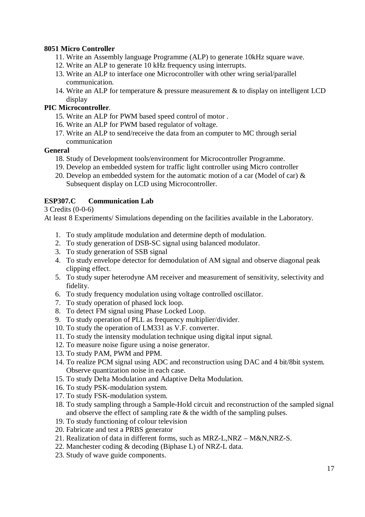# **8051 Micro Controller**

- 11. Write an Assembly language Programme (ALP) to generate 10kHz square wave.
- 12. Write an ALP to generate 10 kHz frequency using interrupts.
- 13. Write an ALP to interface one Microcontroller with other wring serial/parallel communication.
- 14. Write an ALP for temperature & pressure measurement & to display on intelligent LCD display

# **PIC Microcontroller**.

- 15. Write an ALP for PWM based speed control of motor .
- 16. Write an ALP for PWM based regulator of voltage.
- 17. Write an ALP to send/receive the data from an computer to MC through serial communication

# **General**

- 18. Study of Development tools/environment for Microcontroller Programme.
- 19. Develop an embedded system for traffic light controller using Micro controller
- 20. Develop an embedded system for the automatic motion of a car (Model of car)  $\&$ Subsequent display on LCD using Microcontroller.

# **ESP307.C Communication Lab**

3 Credits (0-0-6)

At least 8 Experiments/ Simulations depending on the facilities available in the Laboratory.

- 1. To study amplitude modulation and determine depth of modulation.
- 2. To study generation of DSB-SC signal using balanced modulator.
- 3. To study generation of SSB signal
- 4. To study envelope detector for demodulation of AM signal and observe diagonal peak clipping effect.
- 5. To study super heterodyne AM receiver and measurement of sensitivity, selectivity and fidelity.
- 6. To study frequency modulation using voltage controlled oscillator.
- 7. To study operation of phased lock loop.
- 8. To detect FM signal using Phase Locked Loop.
- 9. To study operation of PLL as frequency multiplier/divider.
- 10. To study the operation of LM331 as V.F. converter.
- 11. To study the intensity modulation technique using digital input signal.
- 12. To measure noise figure using a noise generator.
- 13. To study PAM, PWM and PPM.
- 14. To realize PCM signal using ADC and reconstruction using DAC and 4 bit/8bit system. Observe quantization noise in each case.
- 15. To study Delta Modulation and Adaptive Delta Modulation.
- 16. To study PSK-modulation system.
- 17. To study FSK-modulation system.
- 18. To study sampling through a Sample-Hold circuit and reconstruction of the sampled signal and observe the effect of sampling rate & the width of the sampling pulses.
- 19. To study functioning of colour television
- 20. Fabricate and test a PRBS generator
- 21. Realization of data in different forms, such as MRZ-L,NRZ M&N,NRZ-S.
- 22. Manchester coding & decoding (Biphase L) of NRZ-L data.
- 23. Study of wave guide components.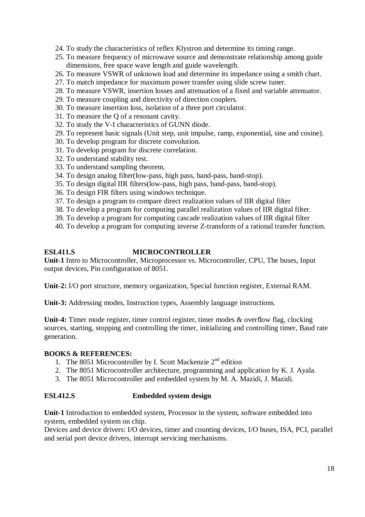- 24. To study the characteristics of reflex Klystron and determine its timing range.
- 25. To measure frequency of microwave source and demonstrate relationship among guide dimensions, free space wave length and guide wavelength.
- 26. To measure VSWR of unknown load and determine its impedance using a smith chart.
- 27. To match impedance for maximum power transfer using slide screw tuner.
- 28. To measure VSWR, insertion losses and attenuation of a fixed and variable attenuator.
- 29. To measure coupling and directivity of direction couplers.
- 30. To measure insertion loss, isolation of a three port circulator.
- 31. To measure the Q of a resonant cavity.
- 32. To study the V-I characteristics of GUNN diode.
- 29. To represent basic signals (Unit step, unit impulse, ramp, exponential, sine and cosine).
- 30. To develop program for discrete convolution.
- 31. To develop program for discrete correlation.
- 32. To understand stability test.
- 33. To understand sampling theorem.
- 34. To design analog filter(low-pass, high pass, band-pass, band-stop).
- 35. To design digital IIR filters(low-pass, high pass, band-pass, band-stop).
- 36. To design FIR filters using windows technique.
- 37. To design a program to compare direct realization values of IIR digital filter
- 38. To develop a program for computing parallel realization values of IIR digital filter.
- 39. To develop a program for computing cascade realization values of IIR digital filter
- 40. To develop a program for computing inverse Z-transform of a rational transfer function.

# **ESL411.S MICROCONTROLLER**

**Unit-1** Intro to Microcontroller, Microprocessor vs. Microcontroller, CPU, The buses, Input output devices, Pin configuration of 8051.

**Unit-2:** I/O port structure, memory organization, Special function register, External RAM.

**Unit-3:** Addressing modes, Instruction types, Assembly language instructions.

**Unit-4:** Timer mode register, timer control register, timer modes & overflow flag, clocking sources, starting, stopping and controlling the timer, initializing and controlling timer, Baud rate generation.

#### **BOOKS & REFERENCES:**

- 1. The 8051 Microcontroller by I. Scott Mackenzie  $2<sup>nd</sup>$  edition
- 2. The 8051 Microcontroller architecture, programming and application by K. J. Ayala.
- 3. The 8051 Microcontroller and embedded system by M. A. Mazidi, J. Mazidi.

# **ESL412.S Embedded system design**

**Unit-1** Introduction to embedded system, Processor in the system, software embedded into system, embedded system on chip.

Devices and device drivers: I/O devices, timer and counting devices, I/O buses, ISA, PCI, parallel and serial port device drivers, interrupt servicing mechanisms.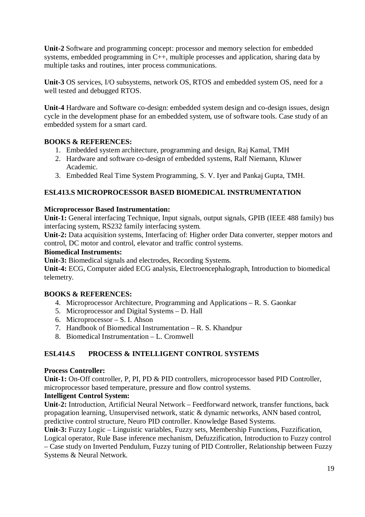**Unit-2** Software and programming concept: processor and memory selection for embedded systems, embedded programming in C++, multiple processes and application, sharing data by multiple tasks and routines, inter process communications.

**Unit-3** OS services, I/O subsystems, network OS, RTOS and embedded system OS, need for a well tested and debugged RTOS.

**Unit-4** Hardware and Software co-design: embedded system design and co-design issues, design cycle in the development phase for an embedded system, use of software tools. Case study of an embedded system for a smart card.

# **BOOKS & REFERENCES:**

- 1. Embedded system architecture, programming and design, Raj Kamal, TMH
- 2. Hardware and software co-design of embedded systems, Ralf Niemann, Kluwer Academic.
- 3. Embedded Real Time System Programming, S. V. Iyer and Pankaj Gupta, TMH.

# **ESL413.S MICROPROCESSOR BASED BIOMEDICAL INSTRUMENTATION**

# **Microprocessor Based Instrumentation:**

**Unit-1:** General interfacing Technique, Input signals, output signals, GPIB (IEEE 488 family) bus interfacing system, RS232 family interfacing system.

**Unit-2:** Data acquisition systems, Interfacing of: Higher order Data converter, stepper motors and control, DC motor and control, elevator and traffic control systems.

#### **Biomedical Instruments:**

**Unit-3:** Biomedical signals and electrodes, Recording Systems.

**Unit-4:** ECG, Computer aided ECG analysis, Electroencephalograph, Introduction to biomedical telemetry.

# **BOOKS & REFERENCES:**

- 4. Microprocessor Architecture, Programming and Applications R. S. Gaonkar
- 5. Microprocessor and Digital Systems D. Hall
- 6. Microprocessor S. I. Ahson
- 7. Handbook of Biomedical Instrumentation R. S. Khandpur
- 8. Biomedical Instrumentation L. Cromwell

# **ESL414.S PROCESS & INTELLIGENT CONTROL SYSTEMS**

#### **Process Controller:**

**Unit-1:** On-Off controller, P, PI, PD & PID controllers, microprocessor based PID Controller, microprocessor based temperature, pressure and flow control systems.

# **Intelligent Control System:**

**Unit-2:** Introduction, Artificial Neural Network – Feedforward network, transfer functions, back propagation learning, Unsupervised network, static & dynamic networks, ANN based control, predictive control structure, Neuro PID controller. Knowledge Based Systems.

**Unit-3:** Fuzzy Logic – Linguistic variables, Fuzzy sets, Membership Functions, Fuzzification, Logical operator, Rule Base inference mechanism, Defuzzification, Introduction to Fuzzy control

– Case study on Inverted Pendulum, Fuzzy tuning of PID Controller, Relationship between Fuzzy Systems & Neural Network.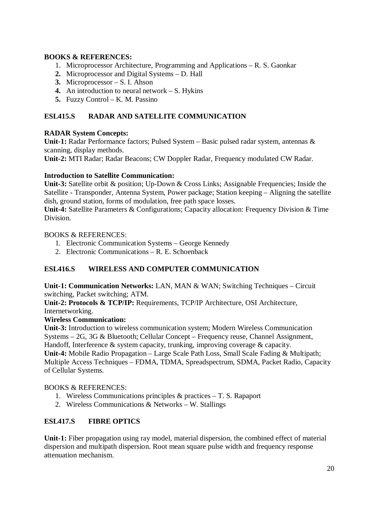# **BOOKS & REFERENCES:**

- 1. Microprocessor Architecture, Programming and Applications R. S. Gaonkar
- **2.** Microprocessor and Digital Systems D. Hall
- **3.** Microprocessor S. I. Ahson
- **4.** An introduction to neural network S. Hykins
- **5.** Fuzzy Control K. M. Passino

# **ESL415.S RADAR AND SATELLITE COMMUNICATION**

# **RADAR System Concepts:**

**Unit-1:** Radar Performance factors; Pulsed System – Basic pulsed radar system, antennas & scanning, display methods.

**Unit-2:** MTI Radar; Radar Beacons; CW Doppler Radar, Frequency modulated CW Radar.

# **Introduction to Satellite Communication:**

**Unit-3:** Satellite orbit & position; Up-Down & Cross Links; Assignable Frequencies; Inside the Satellite - Transponder, Antenna System, Power package; Station keeping – Aligning the satellite dish, ground station, forms of modulation, free path space losses.

**Unit-4:** Satellite Parameters & Configurations; Capacity allocation: Frequency Division & Time Division.

# BOOKS & REFERENCES:

- 1. Electronic Communication Systems George Kennedy
- 2. Electronic Communications R. E. Schoenback

# **ESL416.S WIRELESS AND COMPUTER COMMUNICATION**

**Unit-1: Communication Networks:** LAN, MAN & WAN; Switching Techniques – Circuit switching, Packet switching; ATM.

**Unit-2: Protocols & TCP/IP:** Requirements, TCP/IP Architecture, OSI Architecture, Internetworking.

# **Wireless Communication:**

**Unit-3:** Introduction to wireless communication system; Modern Wireless Communication Systems – 2G, 3G & Bluetooth; Cellular Concept – Frequency reuse, Channel Assignment, Handoff, Interference & system capacity, trunking, improving coverage & capacity. **Unit-4:** Mobile Radio Propagation – Large Scale Path Loss, Small Scale Fading & Multipath; Multiple Access Techniques – FDMA, TDMA, Spreadspectrum, SDMA, Packet Radio, Capacity of Cellular Systems.

# BOOKS & REFERENCES:

- 1. Wireless Communications principles & practices T. S. Rapaport
- 2. Wireless Communications & Networks W. Stallings

# **ESL417.S FIBRE OPTICS**

**Unit-1:** Fiber propagation using ray model, material dispersion, the combined effect of material dispersion and multipath dispersion. Root mean square pulse width and frequency response attenuation mechanism.